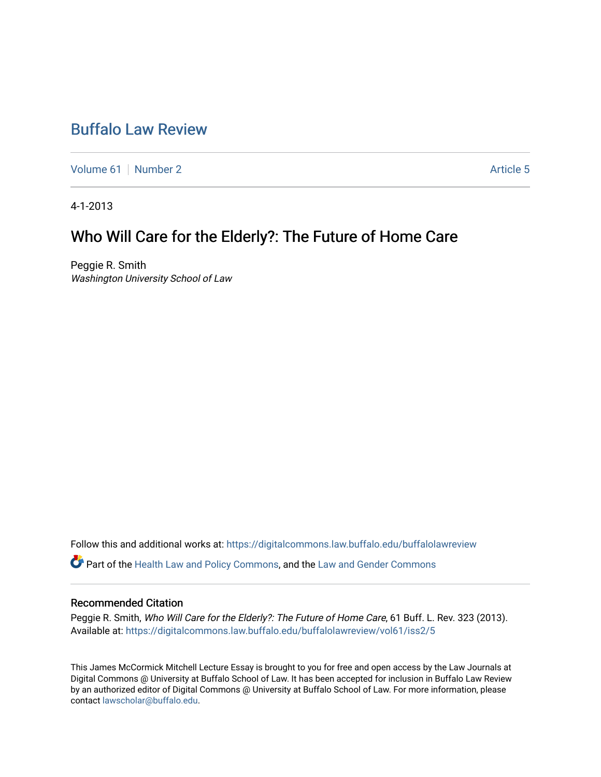# [Buffalo Law Review](https://digitalcommons.law.buffalo.edu/buffalolawreview)

[Volume 61](https://digitalcommons.law.buffalo.edu/buffalolawreview/vol61) [Number 2](https://digitalcommons.law.buffalo.edu/buffalolawreview/vol61/iss2) Article 5

4-1-2013

# Who Will Care for the Elderly?: The Future of Home Care

Peggie R. Smith Washington University School of Law

Follow this and additional works at: [https://digitalcommons.law.buffalo.edu/buffalolawreview](https://digitalcommons.law.buffalo.edu/buffalolawreview?utm_source=digitalcommons.law.buffalo.edu%2Fbuffalolawreview%2Fvol61%2Fiss2%2F5&utm_medium=PDF&utm_campaign=PDFCoverPages) 

Part of the [Health Law and Policy Commons](http://network.bepress.com/hgg/discipline/901?utm_source=digitalcommons.law.buffalo.edu%2Fbuffalolawreview%2Fvol61%2Fiss2%2F5&utm_medium=PDF&utm_campaign=PDFCoverPages), and the [Law and Gender Commons](http://network.bepress.com/hgg/discipline/1298?utm_source=digitalcommons.law.buffalo.edu%2Fbuffalolawreview%2Fvol61%2Fiss2%2F5&utm_medium=PDF&utm_campaign=PDFCoverPages) 

#### Recommended Citation

Peggie R. Smith, Who Will Care for the Elderly?: The Future of Home Care, 61 Buff. L. Rev. 323 (2013). Available at: [https://digitalcommons.law.buffalo.edu/buffalolawreview/vol61/iss2/5](https://digitalcommons.law.buffalo.edu/buffalolawreview/vol61/iss2/5?utm_source=digitalcommons.law.buffalo.edu%2Fbuffalolawreview%2Fvol61%2Fiss2%2F5&utm_medium=PDF&utm_campaign=PDFCoverPages) 

This James McCormick Mitchell Lecture Essay is brought to you for free and open access by the Law Journals at Digital Commons @ University at Buffalo School of Law. It has been accepted for inclusion in Buffalo Law Review by an authorized editor of Digital Commons @ University at Buffalo School of Law. For more information, please contact [lawscholar@buffalo.edu.](mailto:lawscholar@buffalo.edu)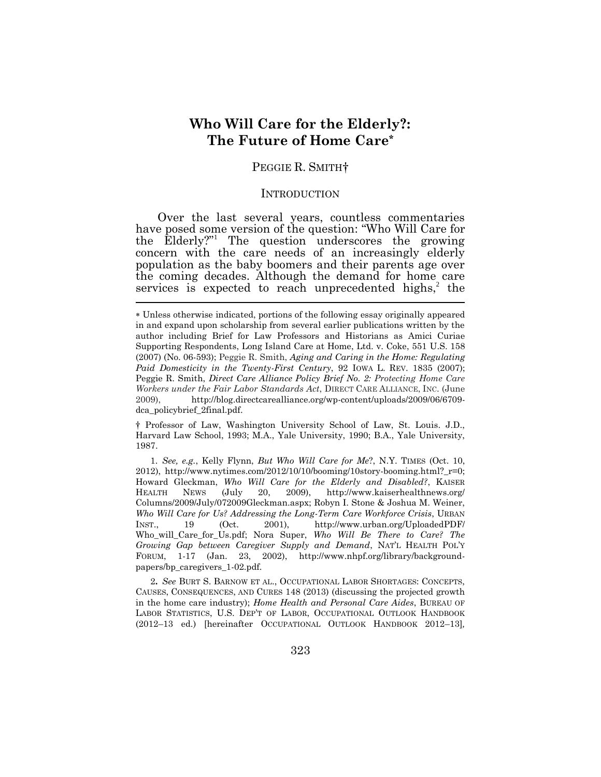# **Who Will Care for the Elderly?: The Future of Home Care\***

## PEGGIE R. SMITH†

#### **INTRODUCTION**

Over the last several years, countless commentaries have posed some version of the question: "Who Will Care for the Elderly?" 1 The question underscores the growing concern with the care needs of an increasingly elderly population as the baby boomers and their parents age over the coming decades. Although the demand for home care services is expected to reach unprecedented highs, $2$  the  $\tilde{a}$ 

† Professor of Law, Washington University School of Law, St. Louis. J.D., Harvard Law School, 1993; M.A., Yale University, 1990; B.A., Yale University, 1987.

1. *See, e.g.*, Kelly Flynn, *But Who Will Care for Me*?, N.Y. TIMES (Oct. 10, 2012), http://www.nytimes.com/2012/10/10/booming/10story-booming.html?  $r=0$ ; Howard Gleckman, *Who Will Care for the Elderly and Disabled?*, KAISER HEALTH NEWS (July 20, 2009), http://www.kaiserhealthnews.org/ Columns/2009/July/072009Gleckman.aspx; Robyn I. Stone & Joshua M. Weiner, *Who Will Care for Us? Addressing the Long-Term Care Workforce Crisis*, URBAN INST., 19 (Oct. 2001), http://www.urban.org/UploadedPDF/ Who\_will\_Care\_for\_Us.pdf; Nora Super, *Who Will Be There to Care? The Growing Gap between Caregiver Supply and Demand*, NAT'L HEALTH POL'Y FORUM, 1-17 (Jan. 23, 2002), http://www.nhpf.org/library/backgroundpapers/bp\_caregivers\_1-02.pdf.

2**.** *See* BURT S. BARNOW ET AL., OCCUPATIONAL LABOR SHORTAGES: CONCEPTS, CAUSES, CONSEQUENCES, AND CURES 148 (2013) (discussing the projected growth in the home care industry); *Home Health and Personal Care Aides*, BUREAU OF LABOR STATISTICS, U.S. DEP'T OF LABOR, OCCUPATIONAL OUTLOOK HANDBOOK (2012–13 ed.) [hereinafter OCCUPATIONAL OUTLOOK HANDBOOK 2012–13]*,*

Unless otherwise indicated, portions of the following essay originally appeared in and expand upon scholarship from several earlier publications written by the author including Brief for Law Professors and Historians as Amici Curiae Supporting Respondents, Long Island Care at Home, Ltd. v. Coke, 551 U.S. 158 (2007) (No. 06-593); Peggie R. Smith, *Aging and Caring in the Home: Regulating Paid Domesticity in the Twenty-First Century*, 92 IOWA L. REV. 1835 (2007); Peggie R. Smith, *Direct Care Alliance Policy Brief No. 2: Protecting Home Care Workers under the Fair Labor Standards Act*, DIRECT CARE ALLIANCE, INC. (June 2009), http://blog.directcarealliance.org/wp-content/uploads/2009/06/6709 dca\_policybrief\_2final.pdf.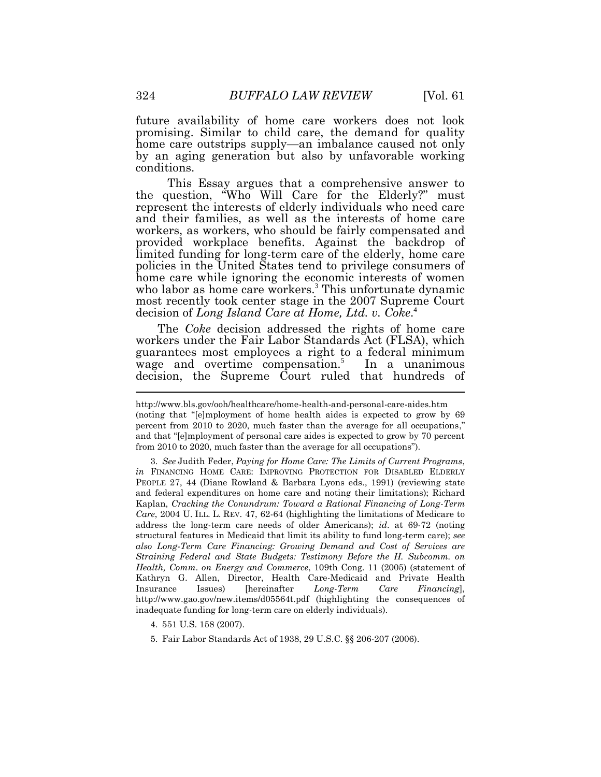future availability of home care workers does not look promising. Similar to child care, the demand for quality home care outstrips supply—an imbalance caused not only by an aging generation but also by unfavorable working conditions.

This Essay argues that a comprehensive answer to the question, "Who Will Care for the Elderly?" must represent the interests of elderly individuals who need care and their families, as well as the interests of home care workers, as workers, who should be fairly compensated and provided workplace benefits. Against the backdrop of limited funding for long-term care of the elderly, home care policies in the United States tend to privilege consumers of home care while ignoring the economic interests of women who labor as home care workers. <sup>3</sup> This unfortunate dynamic most recently took center stage in the 2007 Supreme Court decision of *Long Island Care at Home, Ltd. v. Coke*. 4

The *Coke* decision addressed the rights of home care workers under the Fair Labor Standards Act (FLSA), which guarantees most employees a right to a federal minimum wage and overtime compensation.<sup>5</sup> In a unanimous decision, the Supreme Court ruled that hundreds of

http://www.bls.gov/ooh/healthcare/home-health-and-personal-care-aides.htm (noting that "[e]mployment of home health aides is expected to grow by 69 percent from 2010 to 2020, much faster than the average for all occupations," and that "[e]mployment of personal care aides is expected to grow by 70 percent from 2010 to 2020, much faster than the average for all occupations").

<sup>3.</sup> *See* Judith Feder, *Paying for Home Care: The Limits of Current Programs*, *in* FINANCING HOME CARE: IMPROVING PROTECTION FOR DISABLED ELDERLY PEOPLE 27, 44 (Diane Rowland & Barbara Lyons eds., 1991) (reviewing state and federal expenditures on home care and noting their limitations); Richard Kaplan, *Cracking the Conundrum: Toward a Rational Financing of Long-Term Care*, 2004 U. ILL. L. REV. 47, 62-64 (highlighting the limitations of Medicare to address the long-term care needs of older Americans); *id*. at 69-72 (noting structural features in Medicaid that limit its ability to fund long-term care); *see also Long-Term Care Financing: Growing Demand and Cost of Services are Straining Federal and State Budgets: Testimony Before the H. Subcomm. on Health, Comm. on Energy and Commerce*, 109th Cong. 11 (2005) (statement of Kathryn G. Allen, Director, Health Care-Medicaid and Private Health Insurance Issues) [hereinafter *Long-Term Care Financing*], http://www.gao.gov/new.items/d05564t.pdf (highlighting the consequences of inadequate funding for long-term care on elderly individuals).

<sup>4.</sup> 551 U.S. 158 (2007).

<sup>5.</sup> Fair Labor Standards Act of 1938, 29 U.S.C. §§ 206-207 (2006).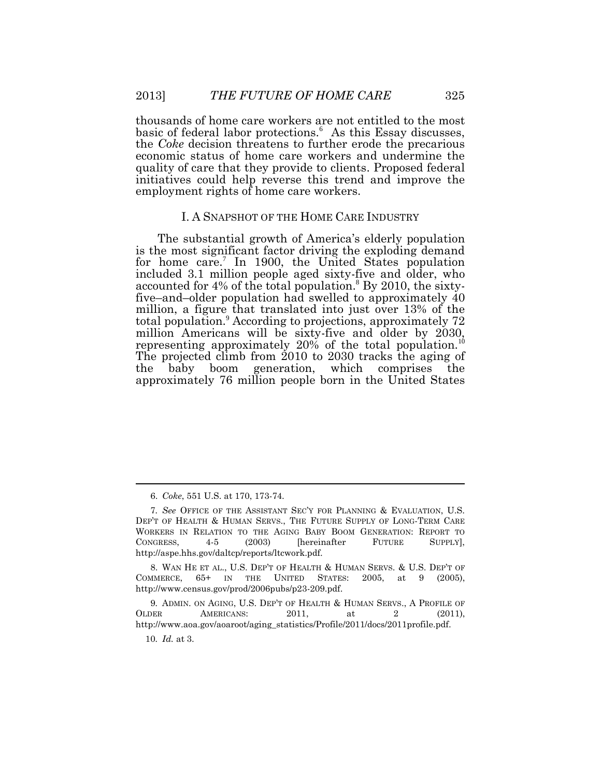thousands of home care workers are not entitled to the most basic of federal labor protections.<sup>6</sup> As this Essay discusses, the *Coke* decision threatens to further erode the precarious economic status of home care workers and undermine the quality of care that they provide to clients. Proposed federal initiatives could help reverse this trend and improve the employment rights of home care workers.

### I. A SNAPSHOT OF THE HOME CARE INDUSTRY

The substantial growth of America's elderly population is the most significant factor driving the exploding demand for home care.<sup>7</sup> In 1900, the United States population included 3.1 million people aged sixty-five and older, who accounted for 4% of the total population.<sup>8</sup> By 2010, the sixtyfive–and–older population had swelled to approximately 40 million, a figure that translated into just over 13% of the total population.<sup>9</sup> According to projections, approximately 72 million Americans will be sixty-five and older by 2030, representing approximately 20% of the total population.<sup>10</sup> The projected climb from 2010 to 2030 tracks the aging of the baby boom generation, which comprises the approximately 76 million people born in the United States

8. WAN HE ET AL., U.S. DEP'T OF HEALTH & HUMAN SERVS. & U.S. DEP'T OF COMMERCE, 65+ IN THE UNITED STATES: 2005, at 9 (2005), http://www.census.gov/prod/2006pubs/p23-209.pdf.

9*.* ADMIN. ON AGING, U.S. DEP'T OF HEALTH & HUMAN SERVS., A PROFILE OF OLDER AMERICANS: 2011, at 2 (2011), http://www.aoa.gov/aoaroot/aging\_statistics/Profile/2011/docs/2011profile.pdf.

<sup>6.</sup> *Coke*, 551 U.S. at 170, 173-74.

<sup>7</sup>*. See* OFFICE OF THE ASSISTANT SEC'Y FOR PLANNING & EVALUATION, U.S. DEP'T OF HEALTH & HUMAN SERVS., THE FUTURE SUPPLY OF LONG-TERM CARE WORKERS IN RELATION TO THE AGING BABY BOOM GENERATION: REPORT TO CONGRESS, 4-5 (2003) [hereinafter FUTURE SUPPLY], http://aspe.hhs.gov/daltcp/reports/ltcwork.pdf.

<sup>10</sup>*. Id.* at 3.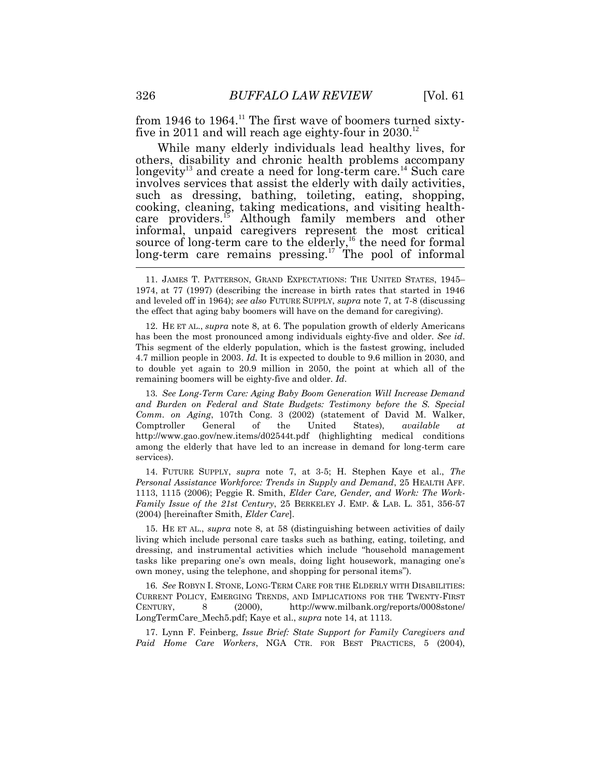from 1946 to  $1964$ .<sup>11</sup> The first wave of boomers turned sixtyfive in 2011 and will reach age eighty-four in  $2030$ <sup>12</sup>

While many elderly individuals lead healthy lives, for others, disability and chronic health problems accompany longevity<sup>13</sup> and create a need for long-term care.<sup>14</sup> Such care involves services that assist the elderly with daily activities, such as dressing, bathing, toileting, eating, shopping, cooking, cleaning, taking medications, and visiting healthcare providers.<sup>15</sup> Although family members and other informal, unpaid caregivers represent the most critical source of long-term care to the elderly,<sup>16</sup> the need for formal long-term care remains pressing.<sup>17</sup> The pool of informal

12. HE ET AL., *supra* note 8, at 6. The population growth of elderly Americans has been the most pronounced among individuals eighty-five and older. *See id*. This segment of the elderly population, which is the fastest growing, included 4.7 million people in 2003. *Id.* It is expected to double to 9.6 million in 2030, and to double yet again to 20.9 million in 2050, the point at which all of the remaining boomers will be eighty-five and older. *Id*.

13*. See Long-Term Care: Aging Baby Boom Generation Will Increase Demand and Burden on Federal and State Budgets: Testimony before the S. Special Comm. on Aging*, 107th Cong. 3 (2002) (statement of David M. Walker, Comptroller General of the United States), *available at* http://www.gao.gov/new.items/d02544t.pdf (highlighting medical conditions among the elderly that have led to an increase in demand for long-term care services).

14. FUTURE SUPPLY, *supra* note 7, at 3-5; H. Stephen Kaye et al., *The Personal Assistance Workforce: Trends in Supply and Demand*, 25 HEALTH AFF. 1113, 1115 (2006); Peggie R. Smith, *Elder Care, Gender, and Work: The Work-Family Issue of the 21st Century*, 25 BERKELEY J. EMP. & LAB. L. 351, 356-57 (2004) [hereinafter Smith, *Elder Care*].

15. HE ET AL., *supra* note 8, at 58 (distinguishing between activities of daily living which include personal care tasks such as bathing, eating, toileting, and dressing, and instrumental activities which include "household management tasks like preparing one's own meals, doing light housework, managing one's own money, using the telephone, and shopping for personal items").

16*. See* ROBYN I. STONE, LONG-TERM CARE FOR THE ELDERLY WITH DISABILITIES: CURRENT POLICY, EMERGING TRENDS, AND IMPLICATIONS FOR THE TWENTY-FIRST CENTURY, 8 (2000), http://www.milbank.org/reports/0008stone/ LongTermCare\_Mech5.pdf; Kaye et al., *supra* note 14, at 1113.

17. Lynn F. Feinberg, *Issue Brief: State Support for Family Caregivers and Paid Home Care Workers*, NGA CTR. FOR BEST PRACTICES, 5 (2004),

<sup>11.</sup> JAMES T. PATTERSON, GRAND EXPECTATIONS: THE UNITED STATES, 1945– 1974, at 77 (1997) (describing the increase in birth rates that started in 1946 and leveled off in 1964); *see also* FUTURE SUPPLY, *supra* note 7, at 7-8 (discussing the effect that aging baby boomers will have on the demand for caregiving).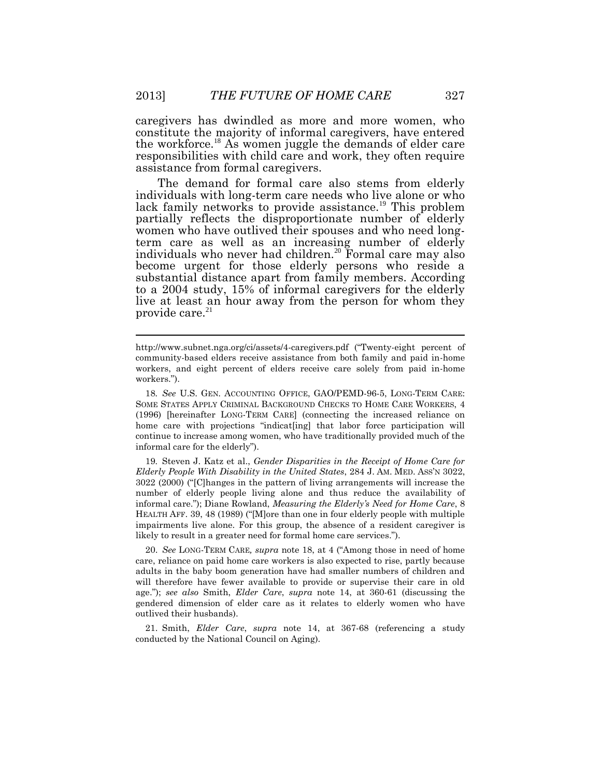caregivers has dwindled as more and more women, who constitute the majority of informal caregivers, have entered the workforce.<sup>18</sup> As women juggle the demands of elder care responsibilities with child care and work, they often require assistance from formal caregivers.

The demand for formal care also stems from elderly individuals with long-term care needs who live alone or who lack family networks to provide assistance.<sup>19</sup> This problem partially reflects the disproportionate number of elderly women who have outlived their spouses and who need longterm care as well as an increasing number of elderly individuals who never had children.<sup>20</sup> Formal care may also become urgent for those elderly persons who reside a substantial distance apart from family members. According to a 2004 study, 15% of informal caregivers for the elderly live at least an hour away from the person for whom they provide care.<sup>21</sup>

18*. See* U.S. GEN. ACCOUNTING OFFICE, GAO/PEMD-96-5, LONG-TERM CARE: SOME STATES APPLY CRIMINAL BACKGROUND CHECKS TO HOME CARE WORKERS, 4 (1996) [hereinafter LONG-TERM CARE] (connecting the increased reliance on home care with projections "indicat[ing] that labor force participation will continue to increase among women, who have traditionally provided much of the informal care for the elderly").

19*.* Steven J. Katz et al., *Gender Disparities in the Receipt of Home Care for Elderly People With Disability in the United States*, 284 J. AM. MED. ASS'N 3022, 3022 (2000) ("[C]hanges in the pattern of living arrangements will increase the number of elderly people living alone and thus reduce the availability of informal care."); Diane Rowland, *Measuring the Elderly's Need for Home Care*, 8 HEALTH AFF. 39, 48 (1989) ("[M]ore than one in four elderly people with multiple impairments live alone. For this group, the absence of a resident caregiver is likely to result in a greater need for formal home care services.").

20. *See* LONG-TERM CARE*, supra* note 18, at 4 ("Among those in need of home care, reliance on paid home care workers is also expected to rise, partly because adults in the baby boom generation have had smaller numbers of children and will therefore have fewer available to provide or supervise their care in old age."); *see also* Smith, *Elder Care*, *supra* note 14, at 360-61 (discussing the gendered dimension of elder care as it relates to elderly women who have outlived their husbands).

21. Smith, *Elder Care*, *supra* note 14, at 367-68 (referencing a study conducted by the National Council on Aging).

http://www.subnet.nga.org/ci/assets/4-caregivers.pdf ("Twenty-eight percent of community-based elders receive assistance from both family and paid in-home workers, and eight percent of elders receive care solely from paid in-home workers.").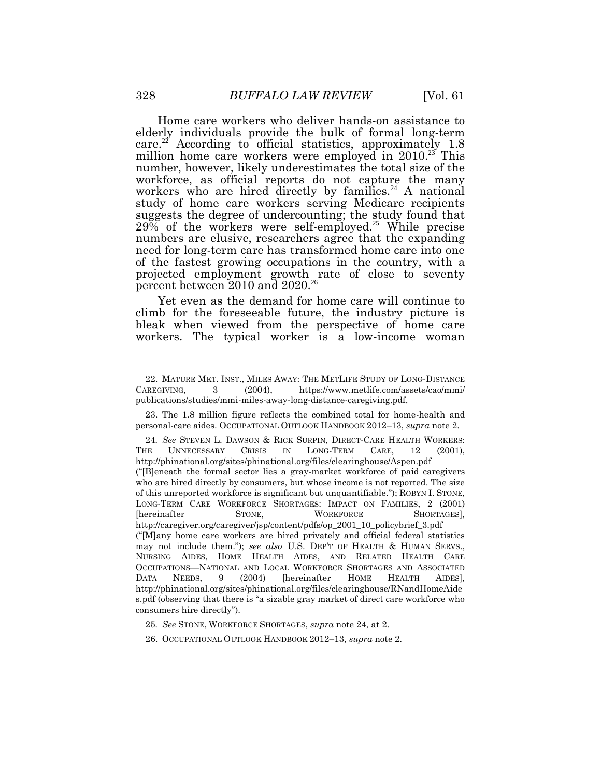Home care workers who deliver hands-on assistance to elderly individuals provide the bulk of formal long-term care.<sup>22</sup> According to official statistics, approximately 1.8 million home care workers were employed in  $2010^{23}$  This number, however, likely underestimates the total size of the workforce, as official reports do not capture the many workers who are hired directly by families.<sup>24</sup> A national study of home care workers serving Medicare recipients suggests the degree of undercounting; the study found that  $29\%$  of the workers were self-employed.<sup>25</sup> While precise numbers are elusive, researchers agree that the expanding need for long-term care has transformed home care into one of the fastest growing occupations in the country, with a projected employment growth rate of close to seventy percent between 2010 and 2020.<sup>26</sup>

Yet even as the demand for home care will continue to climb for the foreseeable future, the industry picture is bleak when viewed from the perspective of home care workers. The typical worker is a low-income woman

<sup>22.</sup> MATURE MKT. INST., MILES AWAY: THE METLIFE STUDY OF LONG-DISTANCE CAREGIVING, 3 (2004), https://www.metlife.com/assets/cao/mmi/ publications/studies/mmi-miles-away-long-distance-caregiving.pdf.

<sup>23.</sup> The 1.8 million figure reflects the combined total for home-health and personal-care aides. OCCUPATIONAL OUTLOOK HANDBOOK 2012–13, *supra* note 2.

<sup>24</sup>*. See* STEVEN L. DAWSON & RICK SURPIN, DIRECT-CARE HEALTH WORKERS: THE UNNECESSARY CRISIS IN LONG-TERM CARE, 12 (2001), http://phinational.org/sites/phinational.org/files/clearinghouse/Aspen.pdf ("[B]eneath the formal sector lies a gray-market workforce of paid caregivers who are hired directly by consumers, but whose income is not reported. The size of this unreported workforce is significant but unquantifiable."); ROBYN I. STONE, LONG-TERM CARE WORKFORCE SHORTAGES: IMPACT ON FAMILIES, 2 (2001) [hereinafter STONE, WORKFORCE SHORTAGES], http://caregiver.org/caregiver/jsp/content/pdfs/op\_2001\_10\_policybrief\_3.pdf ("[M]any home care workers are hired privately and official federal statistics may not include them."); *see also* U.S. DEP'T OF HEALTH & HUMAN SERVS., NURSING AIDES, HOME HEALTH AIDES, AND RELATED HEALTH CARE OCCUPATIONS—NATIONAL AND LOCAL WORKFORCE SHORTAGES AND ASSOCIATED DATA NEEDS, 9 (2004) [hereinafter HOME HEALTH AIDES], http://phinational.org/sites/phinational.org/files/clearinghouse/RNandHomeAide s.pdf (observing that there is "a sizable gray market of direct care workforce who consumers hire directly").

<sup>25</sup>*. See* STONE, WORKFORCE SHORTAGES, *supra* note 24, at 2.

<sup>26.</sup> OCCUPATIONAL OUTLOOK HANDBOOK 2012–13, *supra* note 2.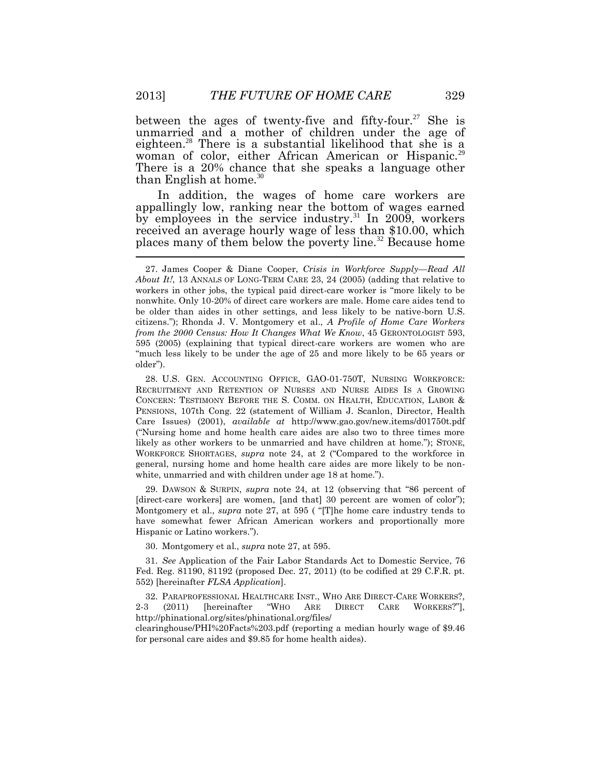between the ages of twenty-five and fifty-four.<sup>27</sup> She is unmarried and a mother of children under the age of eighteen.<sup>28</sup> There is a substantial likelihood that she is a woman of color, either African American or Hispanic.<sup>29</sup> There is a 20% chance that she speaks a language other than English at home.<sup>30</sup>

In addition, the wages of home care workers are appallingly low, ranking near the bottom of wages earned by employees in the service industry.<sup>31</sup> In 2009, workers received an average hourly wage of less than \$10.00, which places many of them below the poverty line.<sup>32</sup> Because home

28. U.S. GEN. ACCOUNTING OFFICE, GAO-01-750T, NURSING WORKFORCE: RECRUITMENT AND RETENTION OF NURSES AND NURSE AIDES IS A GROWING CONCERN: TESTIMONY BEFORE THE S. COMM. ON HEALTH, EDUCATION, LABOR & PENSIONS, 107th Cong. 22 (statement of William J. Scanlon, Director, Health Care Issues) (2001), *available at* http://www.gao.gov/new.items/d01750t.pdf ("Nursing home and home health care aides are also two to three times more likely as other workers to be unmarried and have children at home."); STONE, WORKFORCE SHORTAGES, *supra* note 24, at 2 ("Compared to the workforce in general, nursing home and home health care aides are more likely to be nonwhite, unmarried and with children under age 18 at home.").

29. DAWSON & SURPIN, *supra* note 24, at 12 (observing that "86 percent of [direct-care workers] are women, [and that] 30 percent are women of color"); Montgomery et al., *supra* note 27, at 595 ( "[T]he home care industry tends to have somewhat fewer African American workers and proportionally more Hispanic or Latino workers.").

30. Montgomery et al., *supra* note 27, at 595.

31. *See* Application of the Fair Labor Standards Act to Domestic Service, 76 Fed. Reg. 81190, 81192 (proposed Dec. 27, 2011) (to be codified at 29 C.F.R. pt. 552) [hereinafter *FLSA Application*].

32. PARAPROFESSIONAL HEALTHCARE INST., WHO ARE DIRECT-CARE WORKERS?, 2-3 (2011) [hereinafter "WHO ARE DIRECT CARE WORKERS?"], http://phinational.org/sites/phinational.org/files/

clearinghouse/PHI%20Facts%203.pdf (reporting a median hourly wage of \$9.46 for personal care aides and \$9.85 for home health aides).

<sup>27.</sup> James Cooper & Diane Cooper, *Crisis in Workforce Supply—Read All About It!*, 13 ANNALS OF LONG-TERM CARE 23, 24 (2005) (adding that relative to workers in other jobs, the typical paid direct-care worker is "more likely to be nonwhite. Only 10-20% of direct care workers are male. Home care aides tend to be older than aides in other settings, and less likely to be native-born U.S. citizens."); Rhonda J. V. Montgomery et al., *A Profile of Home Care Workers from the 2000 Census: How It Changes What We Know*, 45 GERONTOLOGIST 593, 595 (2005) (explaining that typical direct-care workers are women who are "much less likely to be under the age of 25 and more likely to be 65 years or older").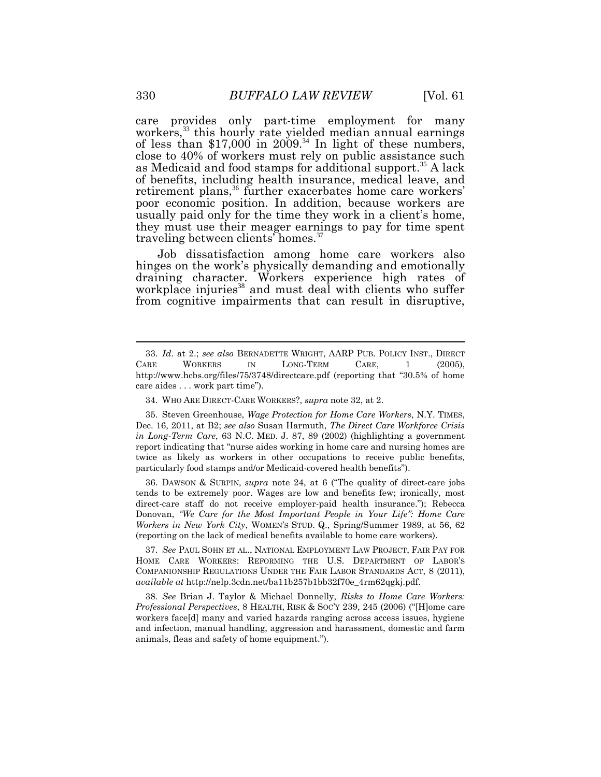care provides only part-time employment for many workers,<sup>33</sup> this hourly rate yielded median annual earnings of less than  $$17,000$  in  $2009.^{34}$  In light of these numbers, close to 40% of workers must rely on public assistance such as Medicaid and food stamps for additional support. <sup>35</sup> A lack of benefits, including health insurance, medical leave, and retirement plans, <sup>36</sup> further exacerbates home care workers' poor economic position. In addition, because workers are usually paid only for the time they work in a client's home, they must use their meager earnings to pay for time spent traveling between clients' homes.<sup>37</sup>

Job dissatisfaction among home care workers also hinges on the work's physically demanding and emotionally draining character. Workers experience high rates of workplace injuries<sup>38</sup> and must deal with clients who suffer from cognitive impairments that can result in disruptive,

36. DAWSON & SURPIN, *supra* note 24, at 6 ("The quality of direct-care jobs tends to be extremely poor. Wages are low and benefits few; ironically, most direct-care staff do not receive employer-paid health insurance."); Rebecca Donovan, *"We Care for the Most Important People in Your Life": Home Care Workers in New York City*, WOMEN'S STUD. Q., Spring/Summer 1989, at 56, 62 (reporting on the lack of medical benefits available to home care workers).

37. *See* PAUL SOHN ET AL., NATIONAL EMPLOYMENT LAW PROJECT, FAIR PAY FOR HOME CARE WORKERS: REFORMING THE U.S. DEPARTMENT OF LABOR'S COMPANIONSHIP REGULATIONS UNDER THE FAIR LABOR STANDARDS ACT, 8 (2011), *available at* http://nelp.3cdn.net/ba11b257b1bb32f70e\_4rm62qgkj.pdf.

38*. See* Brian J. Taylor & Michael Donnelly, *Risks to Home Care Workers: Professional Perspectives*, 8 HEALTH, RISK & SOC'Y 239, 245 (2006) ("[H]ome care workers face[d] many and varied hazards ranging across access issues, hygiene and infection, manual handling, aggression and harassment, domestic and farm animals, fleas and safety of home equipment.").

<sup>33.</sup> *Id*. at 2.; *see also* BERNADETTE WRIGHT, AARP PUB. POLICY INST., DIRECT CARE WORKERS IN LONG-TERM CARE, 1 (2005), http://www.hcbs.org/files/75/3748/directcare.pdf (reporting that "30.5% of home care aides . . . work part time").

<sup>34.</sup> WHO ARE DIRECT-CARE WORKERS?, *supra* note 32, at 2.

<sup>35.</sup> Steven Greenhouse, *Wage Protection for Home Care Workers*, N.Y. TIMES, Dec. 16, 2011, at B2; *see also* Susan Harmuth, *The Direct Care Workforce Crisis in Long-Term Care*, 63 N.C. MED. J. 87, 89 (2002) (highlighting a government report indicating that "nurse aides working in home care and nursing homes are twice as likely as workers in other occupations to receive public benefits, particularly food stamps and/or Medicaid-covered health benefits").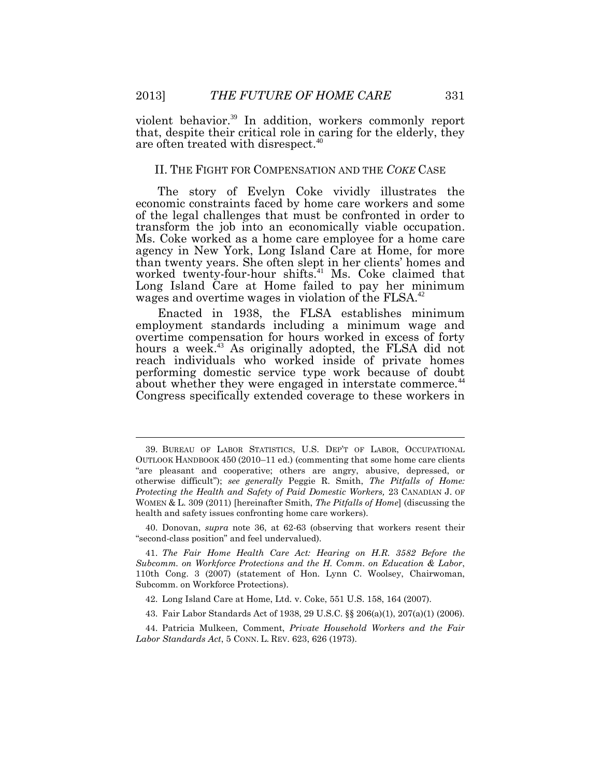violent behavior.<sup>39</sup> In addition, workers commonly report that, despite their critical role in caring for the elderly, they are often treated with disrespect.<sup>40</sup>

#### II. THE FIGHT FOR COMPENSATION AND THE *COKE* CASE

The story of Evelyn Coke vividly illustrates the economic constraints faced by home care workers and some of the legal challenges that must be confronted in order to transform the job into an economically viable occupation. Ms. Coke worked as a home care employee for a home care agency in New York, Long Island Care at Home, for more than twenty years. She often slept in her clients' homes and worked twenty-four-hour shifts.<sup>41</sup> Ms. Coke claimed that Long Island Care at Home failed to pay her minimum wages and overtime wages in violation of the FLSA.<sup>42</sup>

Enacted in 1938, the FLSA establishes minimum employment standards including a minimum wage and overtime compensation for hours worked in excess of forty hours a week.<sup>43</sup> As originally adopted, the FLSA did not reach individuals who worked inside of private homes performing domestic service type work because of doubt about whether they were engaged in interstate commerce.<sup>44</sup> Congress specifically extended coverage to these workers in

 $\overline{a}$ 

<sup>39.</sup> BUREAU OF LABOR STATISTICS, U.S. DEP'T OF LABOR, OCCUPATIONAL OUTLOOK HANDBOOK 450 (2010–11 ed.) (commenting that some home care clients "are pleasant and cooperative; others are angry, abusive, depressed, or otherwise difficult"); *see generally* Peggie R. Smith, *The Pitfalls of Home: Protecting the Health and Safety of Paid Domestic Workers,* 23 CANADIAN J. OF WOMEN & L. 309 (2011) [hereinafter Smith, *The Pitfalls of Home*] (discussing the health and safety issues confronting home care workers).

<sup>40.</sup> Donovan, *supra* note 36, at 62-63 (observing that workers resent their "second-class position" and feel undervalued).

<sup>41.</sup> *The Fair Home Health Care Act: Hearing on H.R. 3582 Before the Subcomm. on Workforce Protections and the H. Comm. on Education & Labor*, 110th Cong. 3 (2007) (statement of Hon. Lynn C. Woolsey, Chairwoman, Subcomm. on Workforce Protections).

<sup>42.</sup> Long Island Care at Home, Ltd. v. Coke, 551 U.S. 158, 164 (2007).

<sup>43.</sup> Fair Labor Standards Act of 1938, 29 U.S.C. §§ 206(a)(1), 207(a)(1) (2006).

<sup>44.</sup> Patricia Mulkeen, Comment, *Private Household Workers and the Fair Labor Standards Act*, 5 CONN. L. REV. 623, 626 (1973).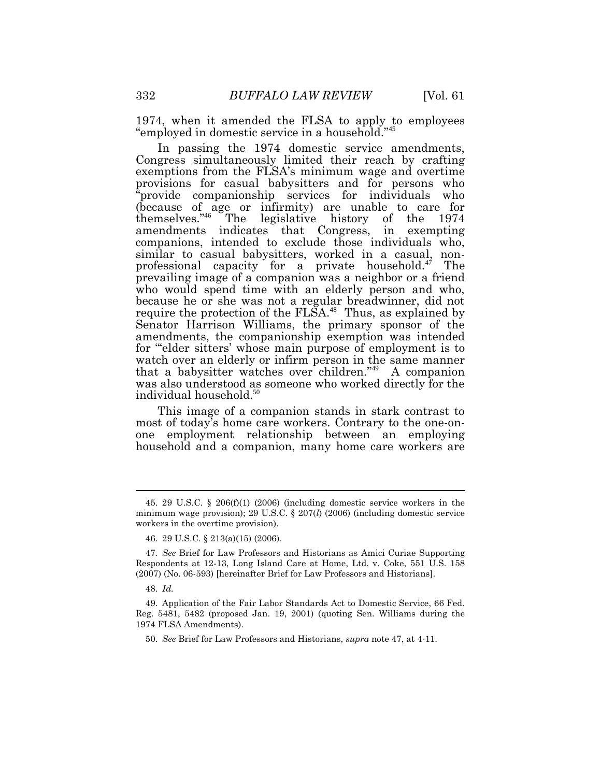1974, when it amended the FLSA to apply to employees "employed in domestic service in a household." 45

In passing the 1974 domestic service amendments, Congress simultaneously limited their reach by crafting exemptions from the FLSA's minimum wage and overtime provisions for casual babysitters and for persons who "provide companionship services for individuals who (because of age or infirmity) are unable to care for themselves." <sup>46</sup> The legislative history of the 1974 amendments indicates that Congress, in exempting companions, intended to exclude those individuals who, similar to casual babysitters, worked in a casual, nonprofessional capacity for a private household.<sup>47</sup> The prevailing image of a companion was a neighbor or a friend who would spend time with an elderly person and who, because he or she was not a regular breadwinner, did not require the protection of the  $FLSA$ <sup>48</sup> Thus, as explained by Senator Harrison Williams, the primary sponsor of the amendments, the companionship exemption was intended for "'elder sitters' whose main purpose of employment is to watch over an elderly or infirm person in the same manner that a babysitter watches over children." <sup>49</sup> A companion was also understood as someone who worked directly for the individual household.<sup>50</sup>

This image of a companion stands in stark contrast to most of today's home care workers. Contrary to the one-onone employment relationship between an employing household and a companion, many home care workers are

<sup>45.</sup> 29 U.S.C. § 206(f)(1) (2006) (including domestic service workers in the minimum wage provision); 29 U.S.C. § 207(*l*) (2006) (including domestic service workers in the overtime provision).

<sup>46.</sup> 29 U.S.C. § 213(a)(15) (2006).

<sup>47</sup>*. See* Brief for Law Professors and Historians as Amici Curiae Supporting Respondents at 12-13, Long Island Care at Home, Ltd. v. Coke, 551 U.S. 158 (2007) (No. 06-593) [hereinafter Brief for Law Professors and Historians].

<sup>48.</sup> *Id.*

<sup>49.</sup> Application of the Fair Labor Standards Act to Domestic Service, 66 Fed. Reg. 5481, 5482 (proposed Jan. 19, 2001) (quoting Sen. Williams during the 1974 FLSA Amendments).

<sup>50.</sup> *See* Brief for Law Professors and Historians, *supra* note 47, at 4-11.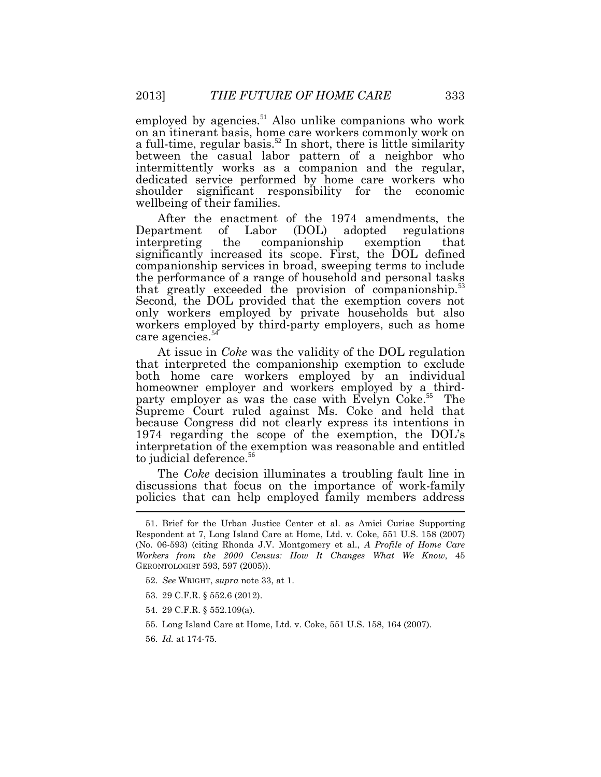employed by agencies.<sup>51</sup> Also unlike companions who work on an itinerant basis, home care workers commonly work on a full-time, regular basis.<sup>52</sup> In short, there is little similarity between the casual labor pattern of a neighbor who intermittently works as a companion and the regular, dedicated service performed by home care workers who shoulder significant responsibility for the economic wellbeing of their families.

After the enactment of the 1974 amendments, the Department of Labor (DOL) adopted regulations interpreting the companionship exemption that significantly increased its scope. First, the DOL defined companionship services in broad, sweeping terms to include the performance of a range of household and personal tasks that greatly exceeded the provision of companionship.<sup>5</sup> Second, the DOL provided that the exemption covers not only workers employed by private households but also workers employed by third-party employers, such as home care agencies.<sup>54</sup>

At issue in *Coke* was the validity of the DOL regulation that interpreted the companionship exemption to exclude both home care workers employed by an individual homeowner employer and workers employed by a thirdparty employer as was the case with Evelyn Coke.<sup>55</sup> The Supreme Court ruled against Ms. Coke and held that because Congress did not clearly express its intentions in 1974 regarding the scope of the exemption, the DOL's interpretation of the exemption was reasonable and entitled to judicial deference.<sup>56</sup>

The *Coke* decision illuminates a troubling fault line in discussions that focus on the importance of work-family policies that can help employed family members address

- 53*.* 29 C.F.R. § 552.6 (2012).
- 54. 29 C.F.R. § 552.109(a).
- 55. Long Island Care at Home, Ltd. v. Coke, 551 U.S. 158, 164 (2007).
- 56. *Id.* at 174-75.

<sup>51.</sup> Brief for the Urban Justice Center et al. as Amici Curiae Supporting Respondent at 7, Long Island Care at Home, Ltd. v. Coke*,* 551 U.S. 158 (2007) (No. 06-593) (citing Rhonda J.V. Montgomery et al., *A Profile of Home Care Workers from the 2000 Census: How It Changes What We Know*, 45 GERONTOLOGIST 593, 597 (2005)).

<sup>52.</sup> *See* WRIGHT, *supra* note 33, at 1.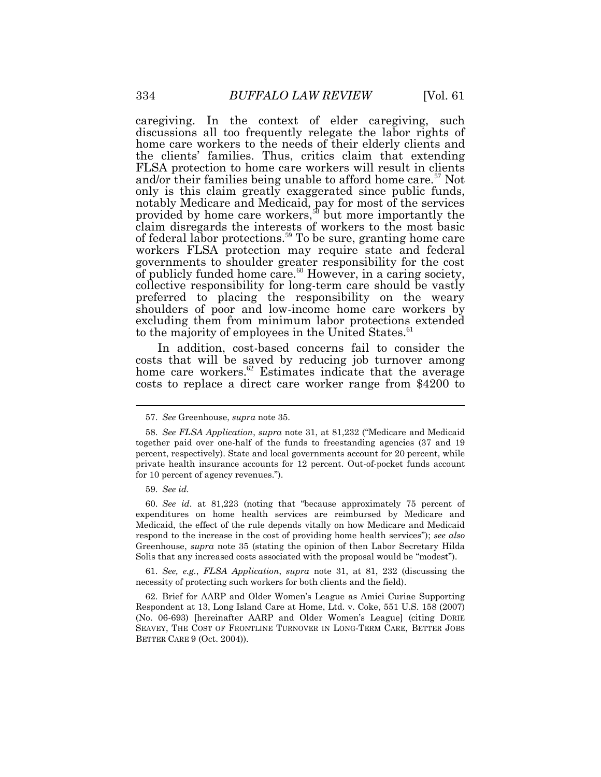caregiving. In the context of elder caregiving, such discussions all too frequently relegate the labor rights of home care workers to the needs of their elderly clients and the clients' families. Thus, critics claim that extending FLSA protection to home care workers will result in clients and/or their families being unable to afford home care.<sup>57</sup> Not only is this claim greatly exaggerated since public funds, notably Medicare and Medicaid, pay for most of the services provided by home care workers,<sup>58</sup> but more importantly the claim disregards the interests of workers to the most basic of federal labor protections.<sup>59</sup> To be sure, granting home care workers FLSA protection may require state and federal governments to shoulder greater responsibility for the cost of publicly funded home care. $60$  However, in a caring society, collective responsibility for long-term care should be vastly preferred to placing the responsibility on the weary shoulders of poor and low-income home care workers by excluding them from minimum labor protections extended to the majority of employees in the United States.<sup>61</sup>

In addition, cost-based concerns fail to consider the costs that will be saved by reducing job turnover among home care workers.<sup>62</sup> Estimates indicate that the average costs to replace a direct care worker range from \$4200 to

60. *See id*. at 81,223 (noting that "because approximately 75 percent of expenditures on home health services are reimbursed by Medicare and Medicaid, the effect of the rule depends vitally on how Medicare and Medicaid respond to the increase in the cost of providing home health services"); *see also* Greenhouse, *supra* note 35 (stating the opinion of then Labor Secretary Hilda Solis that any increased costs associated with the proposal would be "modest").

61. *See, e.g.*, *FLSA Application*, *supra* note 31, at 81, 232 (discussing the necessity of protecting such workers for both clients and the field).

62. Brief for AARP and Older Women's League as Amici Curiae Supporting Respondent at 13, Long Island Care at Home, Ltd. v. Coke, 551 U.S. 158 (2007) (No. 06-693) [hereinafter AARP and Older Women's League] (citing DORIE SEAVEY, THE COST OF FRONTLINE TURNOVER IN LONG-TERM CARE, BETTER JOBS BETTER CARE 9 (Oct. 2004)).

<sup>57.</sup> *See* Greenhouse, *supra* note 35.

<sup>58.</sup> *See FLSA Application*, *supra* note 31, at 81,232 ("Medicare and Medicaid together paid over one-half of the funds to freestanding agencies (37 and 19 percent, respectively). State and local governments account for 20 percent, while private health insurance accounts for 12 percent. Out-of-pocket funds account for 10 percent of agency revenues.").

<sup>59.</sup> *See id.*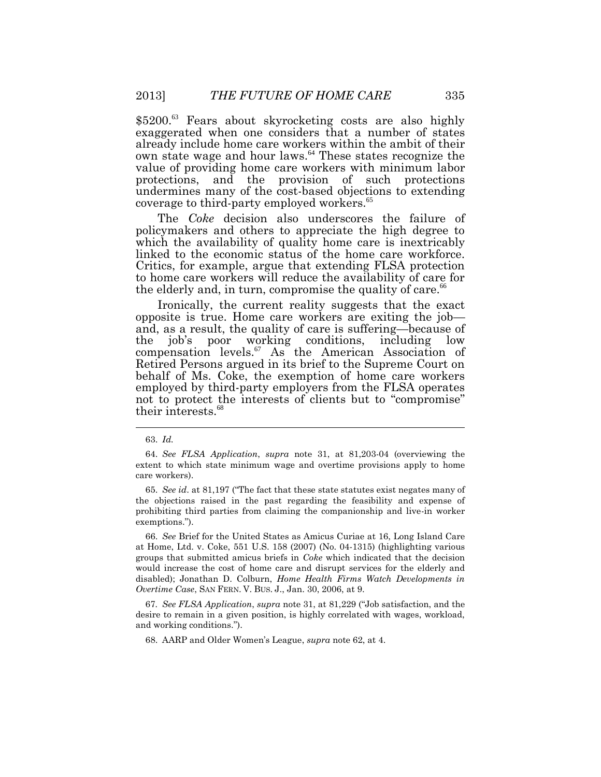\$5200.<sup>63</sup> Fears about skyrocketing costs are also highly exaggerated when one considers that a number of states already include home care workers within the ambit of their own state wage and hour laws.<sup>64</sup> These states recognize the value of providing home care workers with minimum labor protections, and the provision of such protections undermines many of the cost-based objections to extending coverage to third-party employed workers. 65

The *Coke* decision also underscores the failure of policymakers and others to appreciate the high degree to which the availability of quality home care is inextricably linked to the economic status of the home care workforce. Critics, for example, argue that extending FLSA protection to home care workers will reduce the availability of care for the elderly and, in turn, compromise the quality of care.<sup>66</sup>

Ironically, the current reality suggests that the exact opposite is true. Home care workers are exiting the job and, as a result, the quality of care is suffering—because of the job's poor working conditions, including low compensation levels.<sup>67</sup> As the American Association of Retired Persons argued in its brief to the Supreme Court on behalf of Ms. Coke, the exemption of home care workers employed by third-party employers from the FLSA operates not to protect the interests of clients but to "compromise" their interests.<sup>68</sup>

66. *See* Brief for the United States as Amicus Curiae at 16, Long Island Care at Home, Ltd. v. Coke, 551 U.S. 158 (2007) (No. 04-1315) (highlighting various groups that submitted amicus briefs in *Coke* which indicated that the decision would increase the cost of home care and disrupt services for the elderly and disabled); Jonathan D. Colburn, *Home Health Firms Watch Developments in Overtime Case*, SAN FERN. V. BUS. J., Jan. 30, 2006, at 9.

67*. See FLSA Application*, *supra* note 31, at 81,229 ("Job satisfaction, and the desire to remain in a given position, is highly correlated with wages, workload, and working conditions.").

68. AARP and Older Women's League, *supra* note 62, at 4.

<sup>63.</sup> *Id.* 

<sup>64.</sup> *See FLSA Application*, *supra* note 31, at 81,203-04 (overviewing the extent to which state minimum wage and overtime provisions apply to home care workers).

<sup>65.</sup> *See id*. at 81,197 ("The fact that these state statutes exist negates many of the objections raised in the past regarding the feasibility and expense of prohibiting third parties from claiming the companionship and live-in worker exemptions.").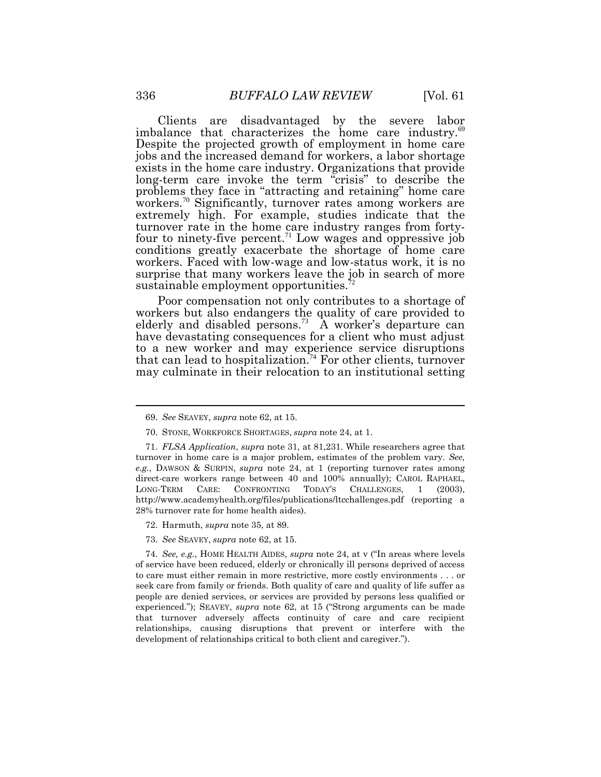Clients are disadvantaged by the severe labor imbalance that characterizes the home care industry.<sup>69</sup> Despite the projected growth of employment in home care jobs and the increased demand for workers, a labor shortage exists in the home care industry. Organizations that provide long-term care invoke the term "crisis" to describe the problems they face in "attracting and retaining" home care workers.<sup>70</sup> Significantly, turnover rates among workers are extremely high. For example, studies indicate that the turnover rate in the home care industry ranges from fortyfour to ninety-five percent.<sup>71</sup> Low wages and oppressive job conditions greatly exacerbate the shortage of home care workers. Faced with low-wage and low-status work, it is no surprise that many workers leave the job in search of more sustainable employment opportunities.<sup>7</sup>

Poor compensation not only contributes to a shortage of workers but also endangers the quality of care provided to elderly and disabled persons.<sup>73</sup> A worker's departure can have devastating consequences for a client who must adjust to a new worker and may experience service disruptions that can lead to hospitalization.<sup>74</sup> For other clients, turnover may culminate in their relocation to an institutional setting

73. *See* SEAVEY, *supra* note 62, at 15.

74. *See, e.g.*, HOME HEALTH AIDES, *supra* note 24, at v ("In areas where levels of service have been reduced, elderly or chronically ill persons deprived of access to care must either remain in more restrictive, more costly environments . . . or seek care from family or friends. Both quality of care and quality of life suffer as people are denied services, or services are provided by persons less qualified or experienced."); SEAVEY, *supra* note 62, at 15 ("Strong arguments can be made that turnover adversely affects continuity of care and care recipient relationships, causing disruptions that prevent or interfere with the development of relationships critical to both client and caregiver.").

<sup>69.</sup> *See* SEAVEY, *supra* note 62, at 15.

<sup>70.</sup> STONE, WORKFORCE SHORTAGES, *supra* note 24, at 1.

<sup>71.</sup> *FLSA Application*, *supra* note 31, at 81,231. While researchers agree that turnover in home care is a major problem, estimates of the problem vary. *See, e.g.*, DAWSON & SURPIN, *supra* note 24, at 1 (reporting turnover rates among direct-care workers range between 40 and 100% annually); CAROL RAPHAEL, LONG-TERM CARE: CONFRONTING TODAY'S CHALLENGES, 1 (2003), http://www.academyhealth.org/files/publications/ltcchallenges.pdf (reporting a 28% turnover rate for home health aides).

<sup>72.</sup> Harmuth, *supra* note 35, at 89.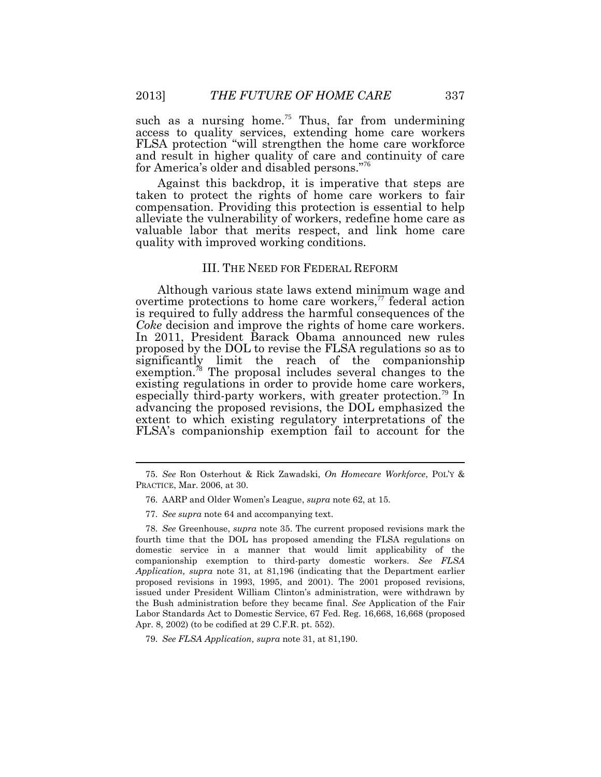such as a nursing home.<sup>75</sup> Thus, far from undermining access to quality services, extending home care workers FLSA protection "will strengthen the home care workforce and result in higher quality of care and continuity of care for America's older and disabled persons." 76

Against this backdrop, it is imperative that steps are taken to protect the rights of home care workers to fair compensation. Providing this protection is essential to help alleviate the vulnerability of workers, redefine home care as valuable labor that merits respect, and link home care quality with improved working conditions.

#### III. THE NEED FOR FEDERAL REFORM

Although various state laws extend minimum wage and overtime protections to home care workers, $\alpha$  federal action is required to fully address the harmful consequences of the *Coke* decision and improve the rights of home care workers. In 2011, President Barack Obama announced new rules proposed by the DOL to revise the FLSA regulations so as to significantly limit the reach of the companionship exemption.<sup>78</sup> The proposal includes several changes to the existing regulations in order to provide home care workers, especially third-party workers, with greater protection.<sup>79</sup> In advancing the proposed revisions, the DOL emphasized the extent to which existing regulatory interpretations of the FLSA's companionship exemption fail to account for the

<sup>75.</sup> *See* Ron Osterhout & Rick Zawadski, *On Homecare Workforce*, POL'Y & PRACTICE, Mar. 2006, at 30.

<sup>76.</sup> AARP and Older Women's League, *supra* note 62, at 15.

<sup>77.</sup> *See supra* note 64 and accompanying text.

<sup>78.</sup> *See* Greenhouse, *supra* note 35. The current proposed revisions mark the fourth time that the DOL has proposed amending the FLSA regulations on domestic service in a manner that would limit applicability of the companionship exemption to third-party domestic workers. *See FLSA Application, supra* note 31, at 81,196 (indicating that the Department earlier proposed revisions in 1993, 1995, and 2001). The 2001 proposed revisions, issued under President William Clinton's administration, were withdrawn by the Bush administration before they became final. *See* Application of the Fair Labor Standards Act to Domestic Service, 67 Fed. Reg. 16,668, 16,668 (proposed Apr. 8, 2002) (to be codified at 29 C.F.R. pt. 552).

<sup>79.</sup> *See FLSA Application, supra* note 31, at 81,190.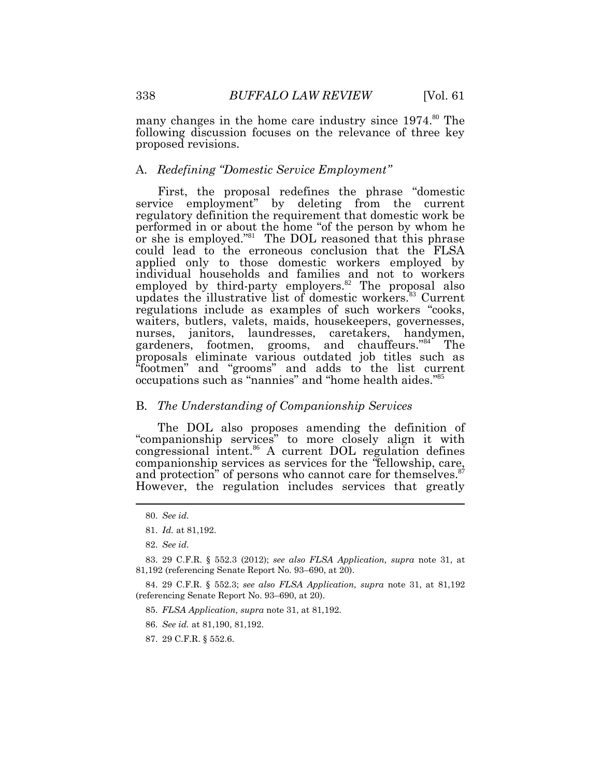many changes in the home care industry since  $1974$ .<sup>80</sup> The following discussion focuses on the relevance of three key proposed revisions.

#### A. *Redefining "Domestic Service Employment"*

First, the proposal redefines the phrase "domestic service employment" by deleting from the current regulatory definition the requirement that domestic work be performed in or about the home "of the person by whom he or she is employed."<sup>81</sup> The DOL reasoned that this phrase could lead to the erroneous conclusion that the FLSA applied only to those domestic workers employed by individual households and families and not to workers employed by third-party employers. $82$  The proposal also updates the illustrative list of domestic workers.<sup>83</sup> Current regulations include as examples of such workers "cooks, waiters, butlers, valets, maids, housekeepers, governesses, nurses, janitors, laundresses, caretakers, handymen, gardeners, footmen, grooms, and chauffeurs."<sup>84</sup> The proposals eliminate various outdated job titles such as "footmen" and "grooms" and adds to the list current occupations such as "nannies" and "home health aides."<sup>85</sup>

### B. *The Understanding of Companionship Services*

The DOL also proposes amending the definition of "companionship services" to more closely align it with congressional intent.<sup>86</sup> A current DOL regulation defines companionship services as services for the *"*fellowship, care, and protection" of persons who cannot care for themselves.<sup>87</sup> However, the regulation includes services that greatly

 $\overline{a}$ 

- 86. *See id.* at 81,190, 81,192.
- 87. 29 C.F.R. § 552.6.

<sup>80.</sup> *See id.*

<sup>81.</sup> *Id.* at 81,192.

<sup>82.</sup> *See id.*

<sup>83. 29</sup> C.F.R. § 552.3 (2012); *see also FLSA Application, supra* note 31, at 81,192 (referencing Senate Report No. 93–690, at 20).

<sup>84. 29</sup> C.F.R. § 552.3; *see also FLSA Application, supra* note 31, at 81,192 (referencing Senate Report No. 93–690, at 20).

<sup>85.</sup> *FLSA Application, supra* note 31, at 81,192.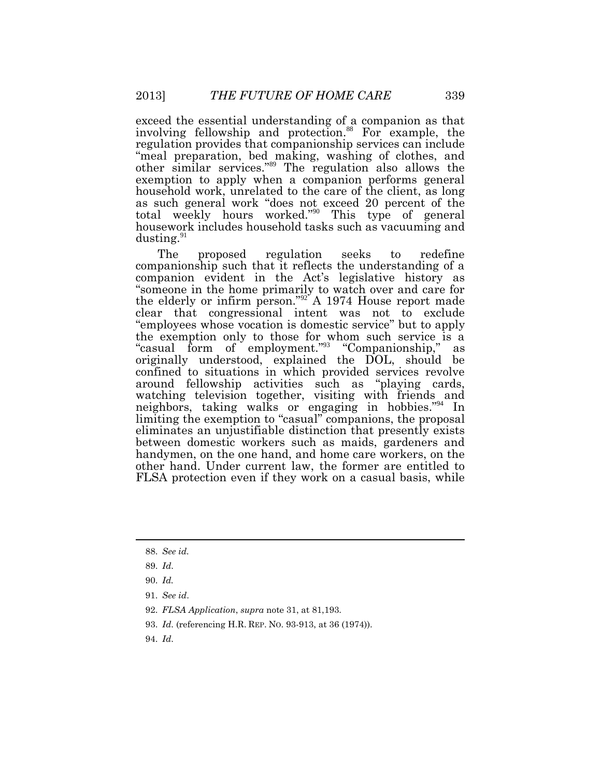exceed the essential understanding of a companion as that involving fellowship and protection. <sup>88</sup> For example, the regulation provides that companionship services can include "meal preparation, bed making, washing of clothes, and other similar services." <sup>89</sup> The regulation also allows the exemption to apply when a companion performs general household work, unrelated to the care of the client, as long as such general work "does not exceed 20 percent of the total weekly hours worked." <sup>90</sup> This type of general housework includes household tasks such as vacuuming and dusting.<sup>91</sup>

The proposed regulation seeks to redefine companionship such that it reflects the understanding of a companion evident in the Act's legislative history as "someone in the home primarily to watch over and care for the elderly or infirm person."<sup>92</sup> A 1974 House report made clear that congressional intent was not to exclude "employees whose vocation is domestic service" but to apply the exemption only to those for whom such service is a "casual form of employment." 93 "Companionship," as originally understood, explained the DOL, should be confined to situations in which provided services revolve around fellowship activities such as "playing cards, watching television together, visiting with friends and neighbors, taking walks or engaging in hobbies."<sup>94</sup> In limiting the exemption to "casual" companions, the proposal eliminates an unjustifiable distinction that presently exists between domestic workers such as maids, gardeners and handymen, on the one hand, and home care workers, on the other hand. Under current law, the former are entitled to FLSA protection even if they work on a casual basis, while

- 93. *Id*. (referencing H.R. REP. NO. 93-913, at 36 (1974)).
- 94. *Id*.

<sup>88.</sup> *See id.*

<sup>89.</sup> *Id*.

<sup>90.</sup> *Id.*

<sup>91.</sup> *See id*.

<sup>92.</sup> *FLSA Application*, *supra* note 31, at 81,193.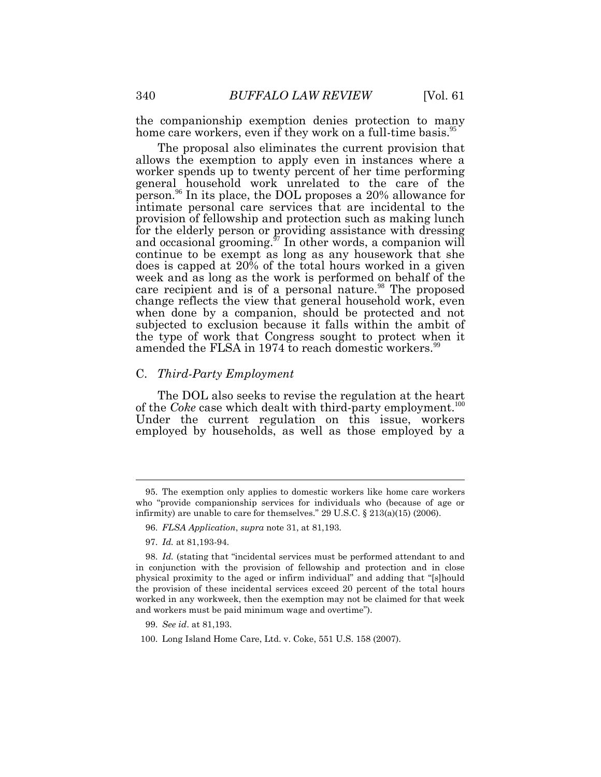the companionship exemption denies protection to many home care workers, even if they work on a full-time basis.<sup>95</sup>

The proposal also eliminates the current provision that allows the exemption to apply even in instances where a worker spends up to twenty percent of her time performing general household work unrelated to the care of the person.<sup>96</sup> In its place, the DOL proposes a 20% allowance for intimate personal care services that are incidental to the provision of fellowship and protection such as making lunch for the elderly person or providing assistance with dressing and occasional grooming. $\mathfrak{I}$  In other words, a companion will continue to be exempt as long as any housework that she does is capped at 20% of the total hours worked in a given week and as long as the work is performed on behalf of the care recipient and is of a personal nature.<sup>98</sup> The proposed change reflects the view that general household work, even when done by a companion, should be protected and not subjected to exclusion because it falls within the ambit of the type of work that Congress sought to protect when it amended the FLSA in 1974 to reach domestic workers.<sup>99</sup>

#### C. *Third-Party Employment*

The DOL also seeks to revise the regulation at the heart of the *Coke* case which dealt with third-party employment.<sup>100</sup> Under the current regulation on this issue, workers employed by households, as well as those employed by a

<sup>95.</sup> The exemption only applies to domestic workers like home care workers who "provide companionship services for individuals who (because of age or infirmity) are unable to care for themselves." 29 U.S.C. § 213(a)(15) (2006).

<sup>96.</sup> *FLSA Application*, *supra* note 31, at 81,193.

<sup>97.</sup> *Id.* at 81,193-94.

<sup>98.</sup> *Id.* (stating that "incidental services must be performed attendant to and in conjunction with the provision of fellowship and protection and in close physical proximity to the aged or infirm individual" and adding that "[s]hould the provision of these incidental services exceed 20 percent of the total hours worked in any workweek, then the exemption may not be claimed for that week and workers must be paid minimum wage and overtime").

<sup>99.</sup> *See id*. at 81,193.

<sup>100.</sup> Long Island Home Care, Ltd. v. Coke, 551 U.S. 158 (2007).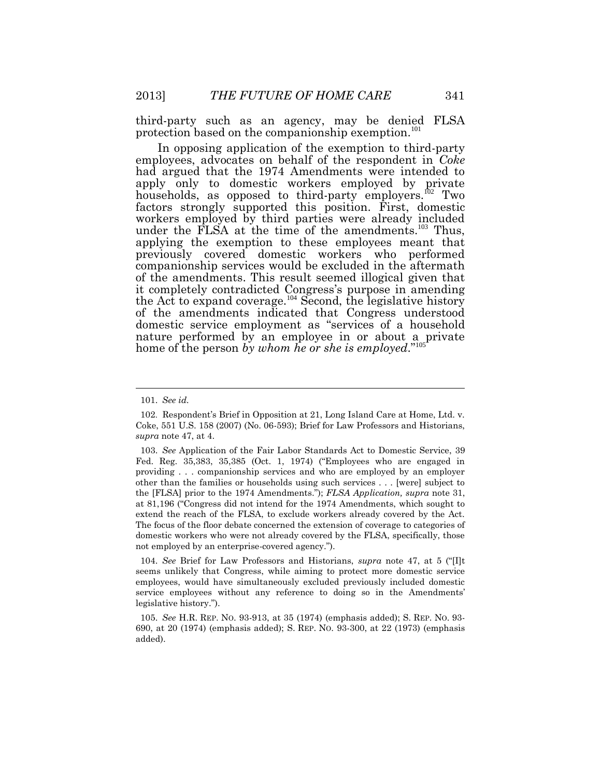third-party such as an agency, may be denied FLSA protection based on the companionship exemption.<sup>101</sup>

In opposing application of the exemption to third-party employees, advocates on behalf of the respondent in *Coke* had argued that the 1974 Amendments were intended to apply only to domestic workers employed by private households, as opposed to third-party employers.<sup>102</sup> Two factors strongly supported this position. First, domestic workers employed by third parties were already included under the FLSA at the time of the amendments.<sup>103</sup> Thus, applying the exemption to these employees meant that previously covered domestic workers who performed companionship services would be excluded in the aftermath of the amendments. This result seemed illogical given that it completely contradicted Congress's purpose in amending the Act to expand coverage.<sup>104</sup> Second, the legislative history of the amendments indicated that Congress understood domestic service employment as "services of a household nature performed by an employee in or about a private home of the person *by whom he or she is employed*." 105

104. *See* Brief for Law Professors and Historians, *supra* note 47, at 5 ("[I]t seems unlikely that Congress, while aiming to protect more domestic service employees, would have simultaneously excluded previously included domestic service employees without any reference to doing so in the Amendments' legislative history.").

105. *See* H.R. REP. NO. 93-913, at 35 (1974) (emphasis added); S. REP. NO. 93- 690, at 20 (1974) (emphasis added); S. REP. NO. 93-300, at 22 (1973) (emphasis added).

<sup>101.</sup> *See id.*

<sup>102</sup>. Respondent's Brief in Opposition at 21, Long Island Care at Home, Ltd. v. Coke, 551 U.S. 158 (2007) (No. 06-593); Brief for Law Professors and Historians, *supra* note 47, at 4.

<sup>103.</sup> *See* Application of the Fair Labor Standards Act to Domestic Service, 39 Fed. Reg. 35,383, 35,385 (Oct. 1, 1974) ("Employees who are engaged in providing . . . companionship services and who are employed by an employer other than the families or households using such services . . . [were] subject to the [FLSA] prior to the 1974 Amendments."); *FLSA Application, supra* note 31, at 81,196 ("Congress did not intend for the 1974 Amendments, which sought to extend the reach of the FLSA, to exclude workers already covered by the Act. The focus of the floor debate concerned the extension of coverage to categories of domestic workers who were not already covered by the FLSA, specifically, those not employed by an enterprise-covered agency.").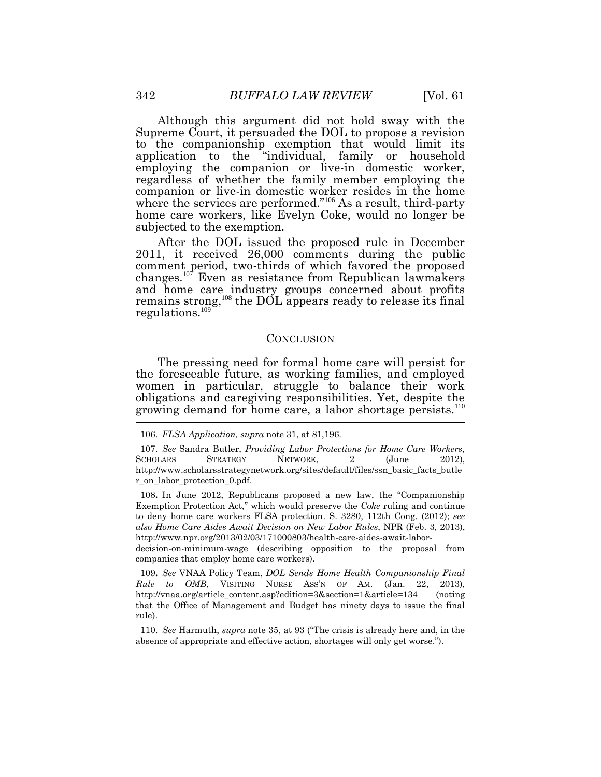Although this argument did not hold sway with the Supreme Court, it persuaded the DOL to propose a revision to the companionship exemption that would limit its application to the "individual, family or household employing the companion or live-in domestic worker, regardless of whether the family member employing the companion or live-in domestic worker resides in the home where the services are performed."<sup>106</sup> As a result, third-party home care workers, like Evelyn Coke, would no longer be subjected to the exemption.

After the DOL issued the proposed rule in December 2011, it received 26,000 comments during the public comment period, two-thirds of which favored the proposed changes.<sup>107</sup> Even as resistance from Republican lawmakers and home care industry groups concerned about profits remains strong,<sup>108</sup> the DOL appears ready to release its final regulations.<sup>109</sup>

#### **CONCLUSION**

The pressing need for formal home care will persist for the foreseeable future, as working families, and employed women in particular, struggle to balance their work obligations and caregiving responsibilities. Yet, despite the growing demand for home care, a labor shortage persists.<sup>110</sup>

108**.** In June 2012, Republicans proposed a new law, the "Companionship Exemption Protection Act," which would preserve the *Coke* ruling and continue to deny home care workers FLSA protection. S. 3280, 112th Cong. (2012); *see also Home Care Aides Await Decision on New Labor Rules*, NPR (Feb. 3, 2013), http://www.npr.org/2013/02/03/171000803/health-care-aides-await-labor-

decision-on-minimum-wage (describing opposition to the proposal from companies that employ home care workers).

109**.** *See* VNAA Policy Team, *DOL Sends Home Health Companionship Final Rule to OMB*, VISITING NURSE ASS'N OF AM. (Jan. 22, 2013), http://vnaa.org/article\_content.asp?edition=3&section=1&article=134 (noting that the Office of Management and Budget has ninety days to issue the final rule).

110. *See* Harmuth, *supra* note 35, at 93 ("The crisis is already here and, in the absence of appropriate and effective action, shortages will only get worse.").

<sup>106.</sup> *FLSA Application, supra* note 31, at 81,196.

<sup>107.</sup> *See* Sandra Butler, *Providing Labor Protections for Home Care Workers*, SCHOLARS STRATEGY NETWORK, 2 (June 2012), http://www.scholarsstrategynetwork.org/sites/default/files/ssn\_basic\_facts\_butle r\_on\_labor\_protection\_0.pdf.